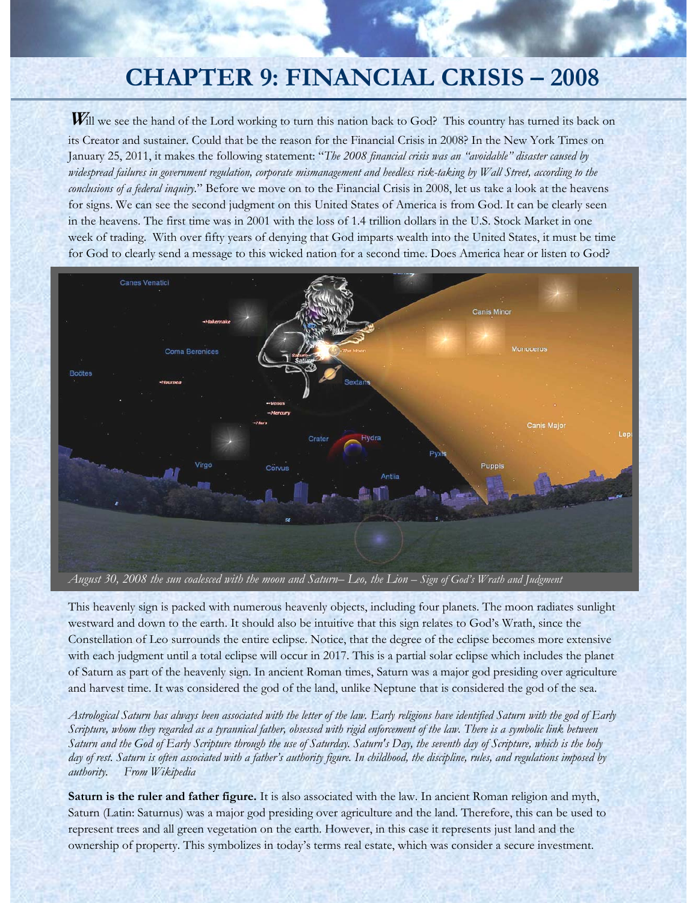# **CHAPTER 9: FINANCIAL CRISIS – 2008**

Will we see the hand of the Lord working to turn this nation back to God? This country has turned its back on its Creator and sustainer. Could that be the reason for the Financial Crisis in 2008? In the New York Times on January 25, 2011, it makes the following statement: "*The 2008 financial crisis was an "avoidable" disaster caused by widespread failures in government regulation, corporate mismanagement and heedless risk-taking by Wall Street, according to the conclusions of a federal inquiry.*" Before we move on to the Financial Crisis in 2008, let us take a look at the heavens for signs. We can see the second judgment on this United States of America is from God. It can be clearly seen in the heavens. The first time was in 2001 with the loss of 1.4 trillion dollars in the U.S. Stock Market in one week of trading. With over fifty years of denying that God imparts wealth into the United States, it must be time for God to clearly send a message to this wicked nation for a second time. Does America hear or listen to God?



This heavenly sign is packed with numerous heavenly objects, including four planets. The moon radiates sunlight westward and down to the earth. It should also be intuitive that this sign relates to God's Wrath, since the Constellation of Leo surrounds the entire eclipse. Notice, that the degree of the eclipse becomes more extensive with each judgment until a total eclipse will occur in 2017. This is a partial solar eclipse which includes the planet of Saturn as part of the heavenly sign. In ancient Roman times, Saturn was a major god presiding over agriculture and harvest time. It was considered the god of the land, unlike Neptune that is considered the god of the sea.

*Astrological Saturn has always been associated with the letter of the law. Early religions have identified Saturn with the god of Early Scripture, whom they regarded as a tyrannical father, obsessed with rigid enforcement of the law. There is a symbolic link between Saturn and the God of Early Scripture through the use of Saturday. Saturn's Day, the seventh day of Scripture, which is the holy day of rest. Saturn is often associated with a father's authority figure. In childhood, the discipline, rules, and regulations imposed by authority. From Wikipedia* 

**Saturn is the ruler and father figure.** It is also associated with the law. In ancient Roman religion and myth, Saturn (Latin: Saturnus) was a major god presiding over agriculture and the land. Therefore, this can be used to represent trees and all green vegetation on the earth. However, in this case it represents just land and the ownership of property. This symbolizes in today's terms real estate, which was consider a secure investment.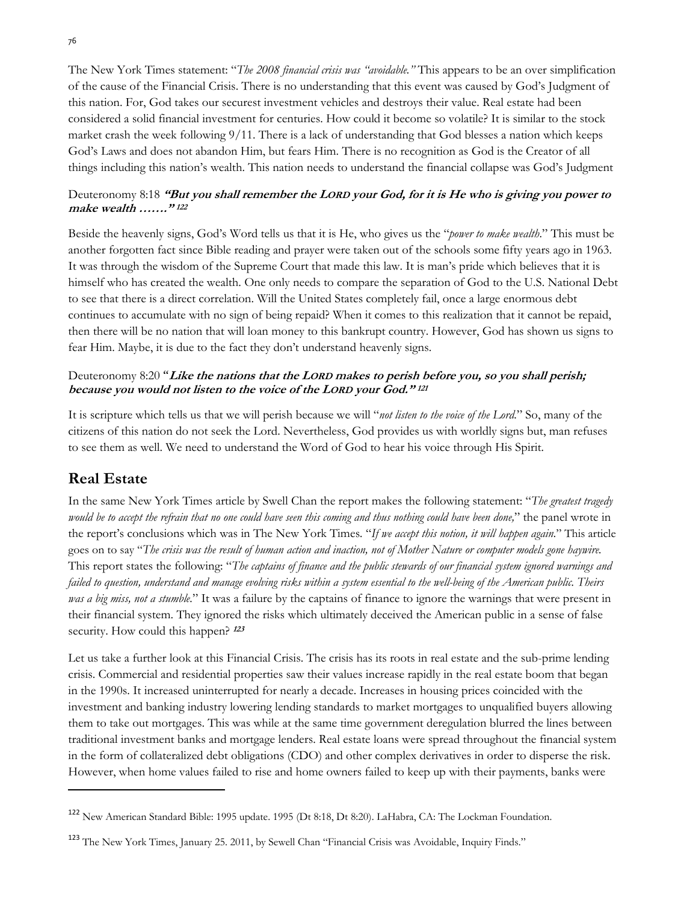The New York Times statement: "*The 2008 financial crisis was "avoidable."* This appears to be an over simplification of the cause of the Financial Crisis. There is no understanding that this event was caused by God's Judgment of this nation. For, God takes our securest investment vehicles and destroys their value. Real estate had been considered a solid financial investment for centuries. How could it become so volatile? It is similar to the stock market crash the week following 9/11. There is a lack of understanding that God blesses a nation which keeps God's Laws and does not abandon Him, but fears Him. There is no recognition as God is the Creator of all things including this nation's wealth. This nation needs to understand the financial collapse was God's Judgment

#### Deuteronomy 8:18 **"But you shall remember the LORD your God, for it is He who is giving you power to make wealth ……." <sup>122</sup>**

Beside the heavenly signs, God's Word tells us that it is He, who gives us the "*power to make wealth*." This must be another forgotten fact since Bible reading and prayer were taken out of the schools some fifty years ago in 1963. It was through the wisdom of the Supreme Court that made this law. It is man's pride which believes that it is himself who has created the wealth. One only needs to compare the separation of God to the U.S. National Debt to see that there is a direct correlation. Will the United States completely fail, once a large enormous debt continues to accumulate with no sign of being repaid? When it comes to this realization that it cannot be repaid, then there will be no nation that will loan money to this bankrupt country. However, God has shown us signs to fear Him. Maybe, it is due to the fact they don't understand heavenly signs.

#### Deuteronomy 8:20 "**Like the nations that the LORD makes to perish before you, so you shall perish; because you would not listen to the voice of the LORD your God." <sup>121</sup>**

It is scripture which tells us that we will perish because we will "*not listen to the voice of the Lord*." So, many of the citizens of this nation do not seek the Lord. Nevertheless, God provides us with worldly signs but, man refuses to see them as well. We need to understand the Word of God to hear his voice through His Spirit.

## **Real Estate**

In the same New York Times article by Swell Chan the report makes the following statement: "*The greatest tragedy would be to accept the refrain that no one could have seen this coming and thus nothing could have been done,*" the panel wrote in the report's conclusions which was in The New York Times*.* "*If we accept this notion, it will happen again.*" This article goes on to say "*The crisis was the result of human action and inaction, not of Mother Nature or computer models gone haywire.*  This report states the following: "*The captains of finance and the public stewards of our financial system ignored warnings and failed to question, understand and manage evolving risks within a system essential to the well-being of the American public. Theirs was a big miss, not a stumble.*" It was a failure by the captains of finance to ignore the warnings that were present in their financial system. They ignored the risks which ultimately deceived the American public in a sense of false security. How could this happen? **<sup>123</sup>**

Let us take a further look at this Financial Crisis. The crisis has its roots in real estate and the sub-prime lending crisis. Commercial and residential properties saw their values increase rapidly in the real estate boom that began in the 1990s. It increased uninterrupted for nearly a decade. Increases in housing prices coincided with the investment and banking industry lowering lending standards to market mortgages to unqualified buyers allowing them to take out mortgages. This was while at the same time government deregulation blurred the lines between traditional investment banks and mortgage lenders. Real estate loans were spread throughout the financial system in the form of collateralized debt obligations (CDO) and other complex derivatives in order to disperse the risk. However, when home values failed to rise and home owners failed to keep up with their payments, banks were

<sup>122</sup> New American Standard Bible: 1995 update. 1995 (Dt 8:18, Dt 8:20). LaHabra, CA: The Lockman Foundation.

<sup>123</sup> The New York Times, January 25. 2011, by Sewell Chan "Financial Crisis was Avoidable, Inquiry Finds."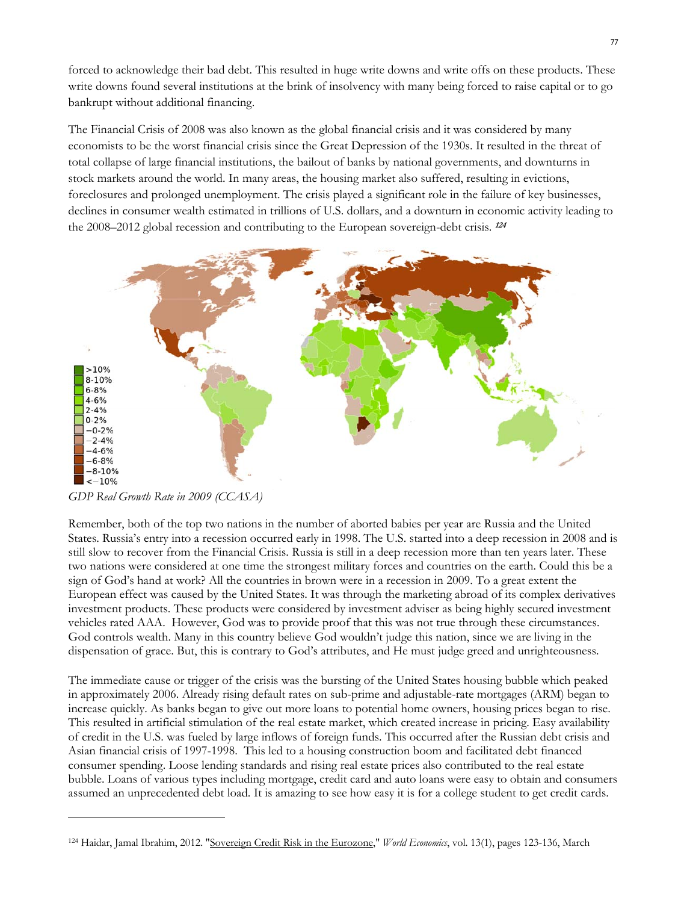forced to acknowledge their bad debt. This resulted in huge write downs and write offs on these products. These write downs found several institutions at the brink of insolvency with many being forced to raise capital or to go bankrupt without additional financing.

The Financial Crisis of 2008 was also known as the global financial crisis and it was considered by many economists to be the worst financial crisis since the Great Depression of the 1930s. It resulted in the threat of total collapse of large financial institutions, the bailout of banks by national governments, and downturns in stock markets around the world. In many areas, the housing market also suffered, resulting in evictions, foreclosures and prolonged unemployment. The crisis played a significant role in the failure of key businesses, declines in consumer wealth estimated in trillions of U.S. dollars, and a downturn in economic activity leading to the 2008–2012 global recession and contributing to the European sovereign-debt crisis. **<sup>124</sup>**



*GDP Real Growth Rate in 2009 (CCASA)* 

Remember, both of the top two nations in the number of aborted babies per year are Russia and the United States. Russia's entry into a recession occurred early in 1998. The U.S. started into a deep recession in 2008 and is still slow to recover from the Financial Crisis. Russia is still in a deep recession more than ten years later. These two nations were considered at one time the strongest military forces and countries on the earth. Could this be a sign of God's hand at work? All the countries in brown were in a recession in 2009. To a great extent the European effect was caused by the United States. It was through the marketing abroad of its complex derivatives investment products. These products were considered by investment adviser as being highly secured investment vehicles rated AAA. However, God was to provide proof that this was not true through these circumstances. God controls wealth. Many in this country believe God wouldn't judge this nation, since we are living in the dispensation of grace. But, this is contrary to God's attributes, and He must judge greed and unrighteousness.

The immediate cause or trigger of the crisis was the bursting of the United States housing bubble which peaked in approximately 2006. Already rising default rates on sub-prime and adjustable-rate mortgages (ARM) began to increase quickly. As banks began to give out more loans to potential home owners, housing prices began to rise. This resulted in artificial stimulation of the real estate market, which created increase in pricing. Easy availability of credit in the U.S. was fueled by large inflows of foreign funds. This occurred after the Russian debt crisis and Asian financial crisis of 1997-1998. This led to a housing construction boom and facilitated debt financed consumer spending. Loose lending standards and rising real estate prices also contributed to the real estate bubble. Loans of various types including mortgage, credit card and auto loans were easy to obtain and consumers assumed an unprecedented debt load. It is amazing to see how easy it is for a college student to get credit cards.

<sup>124</sup> Haidar, Jamal Ibrahim, 2012. "Sovereign Credit Risk in the Eurozone," *World Economics*, vol. 13(1), pages 123-136, March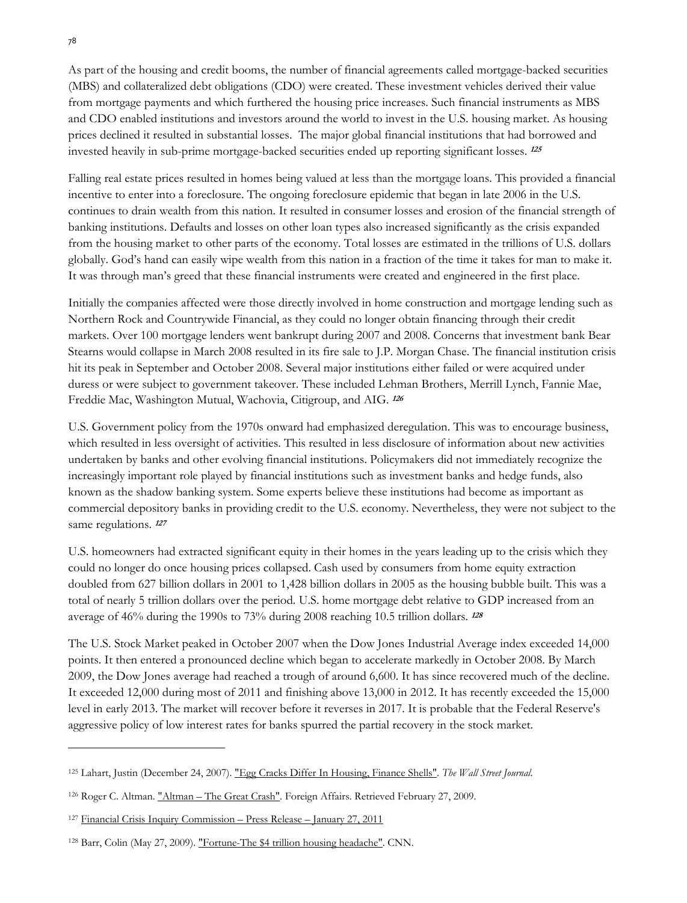As part of the housing and credit booms, the number of financial agreements called mortgage-backed securities (MBS) and collateralized debt obligations (CDO) were created. These investment vehicles derived their value from mortgage payments and which furthered the housing price increases. Such financial instruments as MBS and CDO enabled institutions and investors around the world to invest in the U.S. housing market. As housing prices declined it resulted in substantial losses. The major global financial institutions that had borrowed and invested heavily in sub-prime mortgage-backed securities ended up reporting significant losses. **<sup>125</sup>**

Falling real estate prices resulted in homes being valued at less than the mortgage loans. This provided a financial incentive to enter into a foreclosure. The ongoing foreclosure epidemic that began in late 2006 in the U.S. continues to drain wealth from this nation. It resulted in consumer losses and erosion of the financial strength of banking institutions. Defaults and losses on other loan types also increased significantly as the crisis expanded from the housing market to other parts of the economy. Total losses are estimated in the trillions of U.S. dollars globally. God's hand can easily wipe wealth from this nation in a fraction of the time it takes for man to make it. It was through man's greed that these financial instruments were created and engineered in the first place.

Initially the companies affected were those directly involved in home construction and mortgage lending such as Northern Rock and Countrywide Financial, as they could no longer obtain financing through their credit markets. Over 100 mortgage lenders went bankrupt during 2007 and 2008. Concerns that investment bank Bear Stearns would collapse in March 2008 resulted in its fire sale to J.P. Morgan Chase. The financial institution crisis hit its peak in September and October 2008. Several major institutions either failed or were acquired under duress or were subject to government takeover. These included Lehman Brothers, Merrill Lynch, Fannie Mae, Freddie Mac, Washington Mutual, Wachovia, Citigroup, and AIG. **<sup>126</sup>**

U.S. Government policy from the 1970s onward had emphasized deregulation. This was to encourage business, which resulted in less oversight of activities. This resulted in less disclosure of information about new activities undertaken by banks and other evolving financial institutions. Policymakers did not immediately recognize the increasingly important role played by financial institutions such as investment banks and hedge funds, also known as the shadow banking system. Some experts believe these institutions had become as important as commercial depository banks in providing credit to the U.S. economy. Nevertheless, they were not subject to the same regulations. **<sup>127</sup>**

U.S. homeowners had extracted significant equity in their homes in the years leading up to the crisis which they could no longer do once housing prices collapsed. Cash used by consumers from home equity extraction doubled from 627 billion dollars in 2001 to 1,428 billion dollars in 2005 as the housing bubble built. This was a total of nearly 5 trillion dollars over the period. U.S. home mortgage debt relative to GDP increased from an average of 46% during the 1990s to 73% during 2008 reaching 10.5 trillion dollars. **<sup>128</sup>**

The U.S. Stock Market peaked in October 2007 when the Dow Jones Industrial Average index exceeded 14,000 points. It then entered a pronounced decline which began to accelerate markedly in October 2008. By March 2009, the Dow Jones average had reached a trough of around 6,600. It has since recovered much of the decline. It exceeded 12,000 during most of 2011 and finishing above 13,000 in 2012. It has recently exceeded the 15,000 level in early 2013. The market will recover before it reverses in 2017. It is probable that the Federal Reserve's aggressive policy of low interest rates for banks spurred the partial recovery in the stock market.

<sup>125</sup> Lahart, Justin (December 24, 2007). "Egg Cracks Differ In Housing, Finance Shells". *The Wall Street Journal*.

<sup>&</sup>lt;sup>126</sup> Roger C. Altman. "Altman - The Great Crash". Foreign Affairs. Retrieved February 27, 2009.

<sup>&</sup>lt;sup>127</sup> Financial Crisis Inquiry Commission – Press Release – January 27, 2011

<sup>&</sup>lt;sup>128</sup> Barr, Colin (May 27, 2009). "Fortune-The \$4 trillion housing headache". CNN.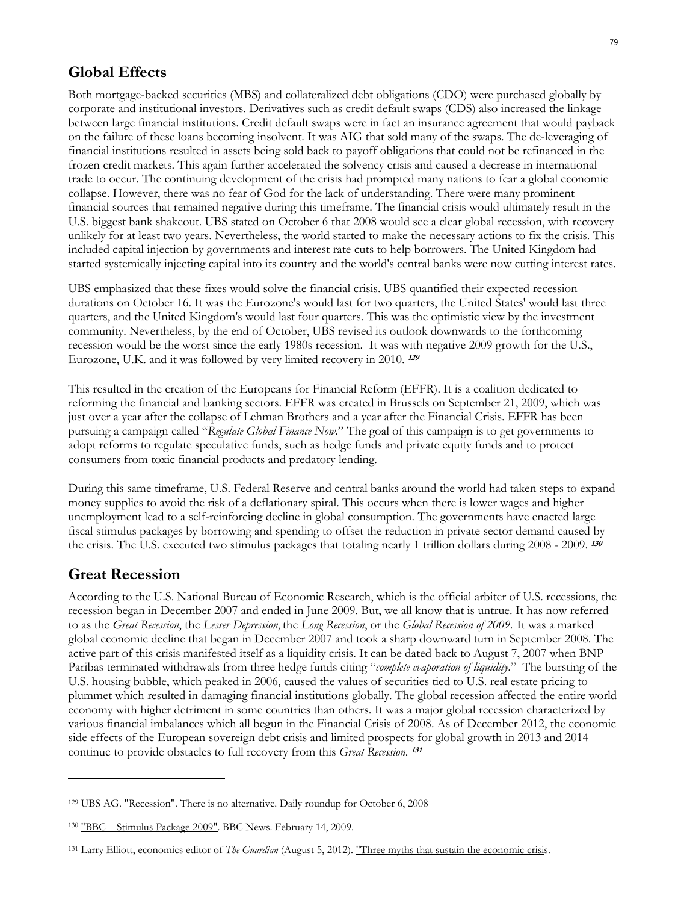### **Global Effects**

Both mortgage-backed securities (MBS) and collateralized debt obligations (CDO) were purchased globally by corporate and institutional investors. Derivatives such as credit default swaps (CDS) also increased the linkage between large financial institutions. Credit default swaps were in fact an insurance agreement that would payback on the failure of these loans becoming insolvent. It was AIG that sold many of the swaps. The de-leveraging of financial institutions resulted in assets being sold back to payoff obligations that could not be refinanced in the frozen credit markets. This again further accelerated the solvency crisis and caused a decrease in international trade to occur. The continuing development of the crisis had prompted many nations to fear a global economic collapse. However, there was no fear of God for the lack of understanding. There were many prominent financial sources that remained negative during this timeframe. The financial crisis would ultimately result in the U.S. biggest bank shakeout. UBS stated on October 6 that 2008 would see a clear global recession, with recovery unlikely for at least two years. Nevertheless, the world started to make the necessary actions to fix the crisis. This included capital injection by governments and interest rate cuts to help borrowers. The United Kingdom had started systemically injecting capital into its country and the world's central banks were now cutting interest rates.

UBS emphasized that these fixes would solve the financial crisis. UBS quantified their expected recession durations on October 16. It was the Eurozone's would last for two quarters, the United States' would last three quarters, and the United Kingdom's would last four quarters. This was the optimistic view by the investment community. Nevertheless, by the end of October, UBS revised its outlook downwards to the forthcoming recession would be the worst since the early 1980s recession. It was with negative 2009 growth for the U.S., Eurozone, U.K. and it was followed by very limited recovery in 2010. **<sup>129</sup>**

This resulted in the creation of the Europeans for Financial Reform (EFFR). It is a coalition dedicated to reforming the financial and banking sectors. EFFR was created in Brussels on September 21, 2009, which was just over a year after the collapse of Lehman Brothers and a year after the Financial Crisis. EFFR has been pursuing a campaign called "*Regulate Global Finance Now*." The goal of this campaign is to get governments to adopt reforms to regulate speculative funds, such as hedge funds and private equity funds and to protect consumers from toxic financial products and predatory lending.

During this same timeframe, U.S. Federal Reserve and central banks around the world had taken steps to expand money supplies to avoid the risk of a deflationary spiral. This occurs when there is lower wages and higher unemployment lead to a self-reinforcing decline in global consumption. The governments have enacted large fiscal stimulus packages by borrowing and spending to offset the reduction in private sector demand caused by the crisis. The U.S. executed two stimulus packages that totaling nearly 1 trillion dollars during 2008 - 2009. **<sup>130</sup>**

### **Great Recession**

According to the U.S. National Bureau of Economic Research, which is the official arbiter of U.S. recessions, the recession began in December 2007 and ended in June 2009. But, we all know that is untrue. It has now referred to as the *Great Recession*, the *Lesser Depression*, the *Long Recession*, or the *Global Recession of 2009*. It was a marked global economic decline that began in December 2007 and took a sharp downward turn in September 2008. The active part of this crisis manifested itself as a liquidity crisis. It can be dated back to August 7, 2007 when BNP Paribas terminated withdrawals from three hedge funds citing "*complete evaporation of liquidity*." The bursting of the U.S. housing bubble, which peaked in 2006, caused the values of securities tied to U.S. real estate pricing to plummet which resulted in damaging financial institutions globally. The global recession affected the entire world economy with higher detriment in some countries than others. It was a major global recession characterized by various financial imbalances which all begun in the Financial Crisis of 2008. As of December 2012, the economic side effects of the European sovereign debt crisis and limited prospects for global growth in 2013 and 2014 continue to provide obstacles to full recovery from this *Great Recession*. **<sup>131</sup>**

<sup>&</sup>lt;sup>129</sup> UBS AG. "Recession". There is no alternative. Daily roundup for October 6, 2008

<sup>130 &</sup>quot;BBC – Stimulus Package 2009". BBC News. February 14, 2009.

<sup>131</sup> Larry Elliott, economics editor of *The Guardian* (August 5, 2012). "Three myths that sustain the economic crisis.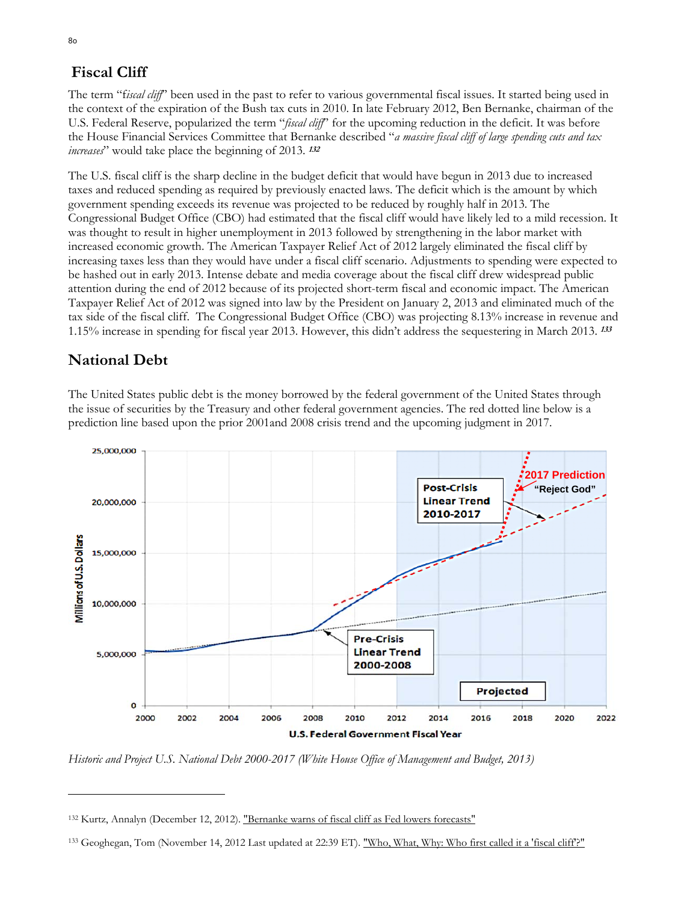# **Fiscal Cliff**

The term "f*iscal cliff*" been used in the past to refer to various governmental fiscal issues. It started being used in the context of the expiration of the Bush tax cuts in 2010. In late February 2012, Ben Bernanke, chairman of the U.S. Federal Reserve, popularized the term "*fiscal cliff*" for the upcoming reduction in the deficit. It was before the House Financial Services Committee that Bernanke described "*a massive fiscal cliff of large spending cuts and tax increases*" would take place the beginning of 2013. **<sup>132</sup>**

The U.S. fiscal cliff is the sharp decline in the budget deficit that would have begun in 2013 due to increased taxes and reduced spending as required by previously enacted laws. The deficit which is the amount by which government spending exceeds its revenue was projected to be reduced by roughly half in 2013. The Congressional Budget Office (CBO) had estimated that the fiscal cliff would have likely led to a mild recession. It was thought to result in higher unemployment in 2013 followed by strengthening in the labor market with increased economic growth. The American Taxpayer Relief Act of 2012 largely eliminated the fiscal cliff by increasing taxes less than they would have under a fiscal cliff scenario. Adjustments to spending were expected to be hashed out in early 2013. Intense debate and media coverage about the fiscal cliff drew widespread public attention during the end of 2012 because of its projected short-term fiscal and economic impact. The American Taxpayer Relief Act of 2012 was signed into law by the President on January 2, 2013 and eliminated much of the tax side of the fiscal cliff. The Congressional Budget Office (CBO) was projecting 8.13% increase in revenue and 1.15% increase in spending for fiscal year 2013. However, this didn't address the sequestering in March 2013. **<sup>133</sup>**

# **National Debt**

The United States public debt is the money borrowed by the federal government of the United States through the issue of securities by the Treasury and other federal government agencies. The red dotted line below is a prediction line based upon the prior 2001and 2008 crisis trend and the upcoming judgment in 2017.



*Historic and Project U.S. National Debt 2000-2017 (White House Office of Management and Budget, 2013)* 

<sup>132</sup> Kurtz, Annalyn (December 12, 2012). "Bernanke warns of fiscal cliff as Fed lowers forecasts"

<sup>133</sup> Geoghegan, Tom (November 14, 2012 Last updated at 22:39 ET). "Who, What, Why: Who first called it a 'fiscal cliff'?"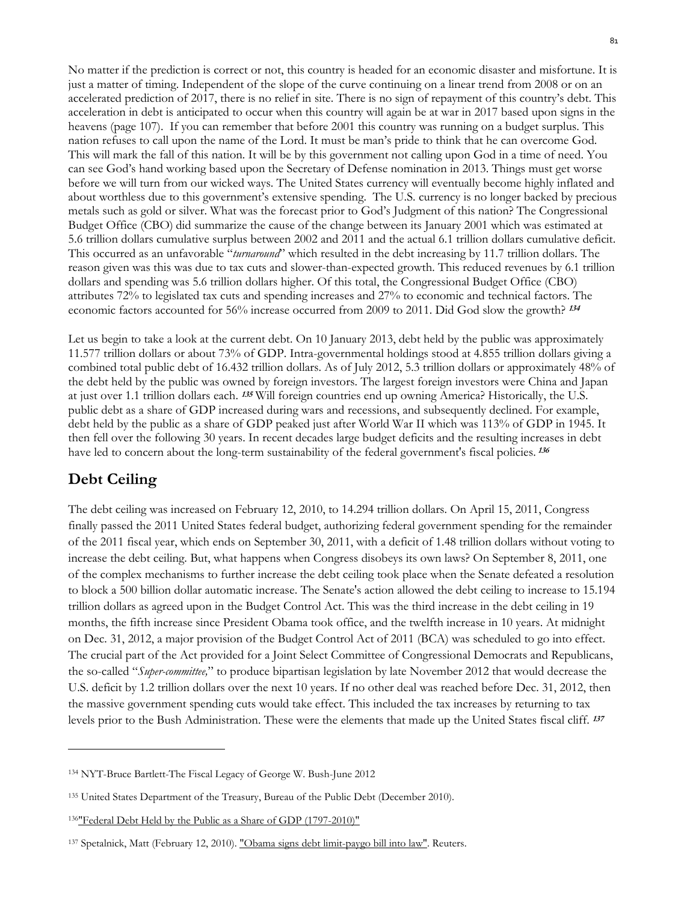No matter if the prediction is correct or not, this country is headed for an economic disaster and misfortune. It is just a matter of timing. Independent of the slope of the curve continuing on a linear trend from 2008 or on an accelerated prediction of 2017, there is no relief in site. There is no sign of repayment of this country's debt. This acceleration in debt is anticipated to occur when this country will again be at war in 2017 based upon signs in the heavens (page 107). If you can remember that before 2001 this country was running on a budget surplus. This nation refuses to call upon the name of the Lord. It must be man's pride to think that he can overcome God. This will mark the fall of this nation. It will be by this government not calling upon God in a time of need. You can see God's hand working based upon the Secretary of Defense nomination in 2013. Things must get worse before we will turn from our wicked ways. The United States currency will eventually become highly inflated and about worthless due to this government's extensive spending. The U.S. currency is no longer backed by precious metals such as gold or silver. What was the forecast prior to God's Judgment of this nation? The Congressional Budget Office (CBO) did summarize the cause of the change between its January 2001 which was estimated at 5.6 trillion dollars cumulative surplus between 2002 and 2011 and the actual 6.1 trillion dollars cumulative deficit. This occurred as an unfavorable "*turnaround*" which resulted in the debt increasing by 11.7 trillion dollars. The reason given was this was due to tax cuts and slower-than-expected growth. This reduced revenues by 6.1 trillion dollars and spending was 5.6 trillion dollars higher. Of this total, the Congressional Budget Office (CBO) attributes 72% to legislated tax cuts and spending increases and 27% to economic and technical factors. The economic factors accounted for 56% increase occurred from 2009 to 2011. Did God slow the growth? **<sup>134</sup>**

Let us begin to take a look at the current debt. On 10 January 2013, debt held by the public was approximately 11.577 trillion dollars or about 73% of GDP. Intra-governmental holdings stood at 4.855 trillion dollars giving a combined total public debt of 16.432 trillion dollars. As of July 2012, 5.3 trillion dollars or approximately 48% of the debt held by the public was owned by foreign investors. The largest foreign investors were China and Japan at just over 1.1 trillion dollars each. **<sup>135</sup>** Will foreign countries end up owning America? Historically, the U.S. public debt as a share of GDP increased during wars and recessions, and subsequently declined. For example, debt held by the public as a share of GDP peaked just after World War II which was 113% of GDP in 1945. It then fell over the following 30 years. In recent decades large budget deficits and the resulting increases in debt have led to concern about the long-term sustainability of the federal government's fiscal policies. **<sup>136</sup>**

## **Debt Ceiling**

The debt ceiling was increased on February 12, 2010, to 14.294 trillion dollars. On April 15, 2011, Congress finally passed the 2011 United States federal budget, authorizing federal government spending for the remainder of the 2011 fiscal year, which ends on September 30, 2011, with a deficit of 1.48 trillion dollars without voting to increase the debt ceiling. But, what happens when Congress disobeys its own laws? On September 8, 2011, one of the complex mechanisms to further increase the debt ceiling took place when the Senate defeated a resolution to block a 500 billion dollar automatic increase. The Senate's action allowed the debt ceiling to increase to 15.194 trillion dollars as agreed upon in the Budget Control Act. This was the third increase in the debt ceiling in 19 months, the fifth increase since President Obama took office, and the twelfth increase in 10 years. At midnight on Dec. 31, 2012, a major provision of the Budget Control Act of 2011 (BCA) was scheduled to go into effect. The crucial part of the Act provided for a Joint Select Committee of Congressional Democrats and Republicans, the so-called "*Super-committee,*" to produce bipartisan legislation by late November 2012 that would decrease the U.S. deficit by 1.2 trillion dollars over the next 10 years. If no other deal was reached before Dec. 31, 2012, then the massive government spending cuts would take effect. This included the tax increases by returning to tax levels prior to the Bush Administration. These were the elements that made up the United States fiscal cliff. **<sup>137</sup>**

<sup>134</sup> NYT-Bruce Bartlett-The Fiscal Legacy of George W. Bush-June 2012

<sup>&</sup>lt;sup>135</sup> United States Department of the Treasury, Bureau of the Public Debt (December 2010).

<sup>136&</sup>quot; Federal Debt Held by the Public as a Share of GDP (1797-2010)"

<sup>&</sup>lt;sup>137</sup> Spetalnick, Matt (February 12, 2010). "Obama signs debt limit-paygo bill into law". Reuters.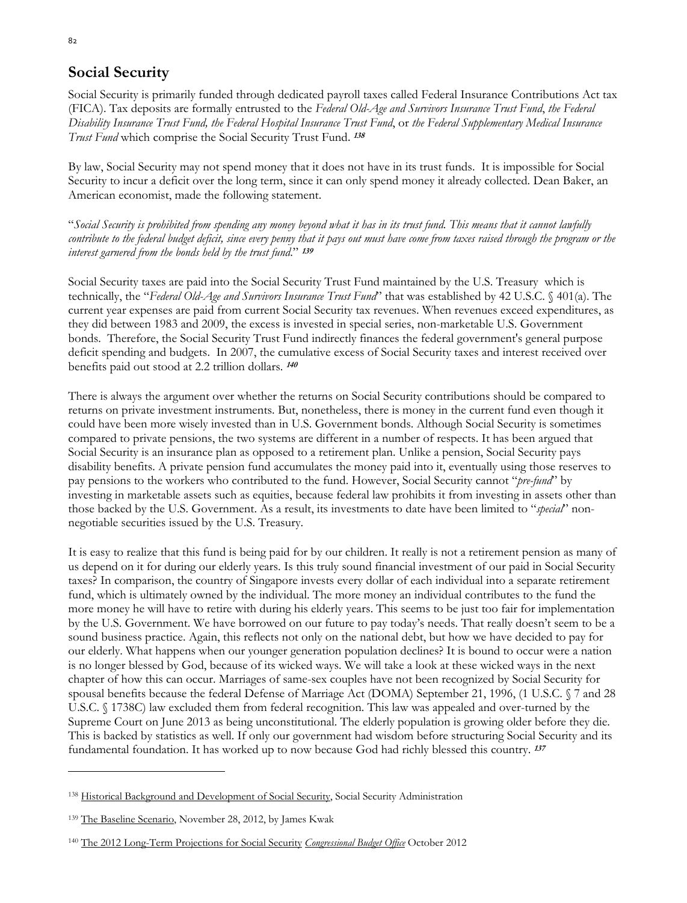# **Social Security**

Social Security is primarily funded through dedicated payroll taxes called Federal Insurance Contributions Act tax (FICA). Tax deposits are formally entrusted to the *Federal Old-Age and Survivors Insurance Trust Fund*, *the Federal Disability Insurance Trust Fund, the Federal Hospital Insurance Trust Fund*, or *the Federal Supplementary Medical Insurance Trust Fund* which comprise the Social Security Trust Fund. **<sup>138</sup>**

By law, Social Security may not spend money that it does not have in its trust funds. It is impossible for Social Security to incur a deficit over the long term, since it can only spend money it already collected. Dean Baker, an American economist, made the following statement.

"*Social Security is prohibited from spending any money beyond what it has in its trust fund. This means that it cannot lawfully contribute to the federal budget deficit, since every penny that it pays out must have come from taxes raised through the program or the interest garnered from the bonds held by the trust fund*." **<sup>139</sup>**

Social Security taxes are paid into the Social Security Trust Fund maintained by the U.S. Treasury which is technically, the "*Federal Old-Age and Survivors Insurance Trust Fund*" that was established by 42 U.S.C. § 401(a). The current year expenses are paid from current Social Security tax revenues. When revenues exceed expenditures, as they did between 1983 and 2009, the excess is invested in special series, non-marketable U.S. Government bonds. Therefore, the Social Security Trust Fund indirectly finances the federal government's general purpose deficit spending and budgets. In 2007, the cumulative excess of Social Security taxes and interest received over benefits paid out stood at 2.2 trillion dollars. **<sup>140</sup>**

There is always the argument over whether the returns on Social Security contributions should be compared to returns on private investment instruments. But, nonetheless, there is money in the current fund even though it could have been more wisely invested than in U.S. Government bonds. Although Social Security is sometimes compared to private pensions, the two systems are different in a number of respects. It has been argued that Social Security is an insurance plan as opposed to a retirement plan. Unlike a pension, Social Security pays disability benefits. A private pension fund accumulates the money paid into it, eventually using those reserves to pay pensions to the workers who contributed to the fund. However, Social Security cannot "*pre-fund*" by investing in marketable assets such as equities, because federal law prohibits it from investing in assets other than those backed by the U.S. Government. As a result, its investments to date have been limited to "*special*" nonnegotiable securities issued by the U.S. Treasury.

It is easy to realize that this fund is being paid for by our children. It really is not a retirement pension as many of us depend on it for during our elderly years. Is this truly sound financial investment of our paid in Social Security taxes? In comparison, the country of Singapore invests every dollar of each individual into a separate retirement fund, which is ultimately owned by the individual. The more money an individual contributes to the fund the more money he will have to retire with during his elderly years. This seems to be just too fair for implementation by the U.S. Government. We have borrowed on our future to pay today's needs. That really doesn't seem to be a sound business practice. Again, this reflects not only on the national debt, but how we have decided to pay for our elderly. What happens when our younger generation population declines? It is bound to occur were a nation is no longer blessed by God, because of its wicked ways. We will take a look at these wicked ways in the next chapter of how this can occur. Marriages of same-sex couples have not been recognized by Social Security for spousal benefits because the federal Defense of Marriage Act (DOMA) September 21, 1996, (1 U.S.C. § 7 and 28 U.S.C. § 1738C) law excluded them from federal recognition. This law was appealed and over-turned by the Supreme Court on June 2013 as being unconstitutional. The elderly population is growing older before they die. This is backed by statistics as well. If only our government had wisdom before structuring Social Security and its fundamental foundation. It has worked up to now because God had richly blessed this country. **<sup>137</sup>**

<sup>&</sup>lt;sup>138</sup> Historical Background and Development of Social Security, Social Security Administration

<sup>139</sup> The Baseline Scenario, November 28, 2012, by James Kwak

<sup>140</sup> The 2012 Long-Term Projections for Social Security *Congressional Budget Office* October 2012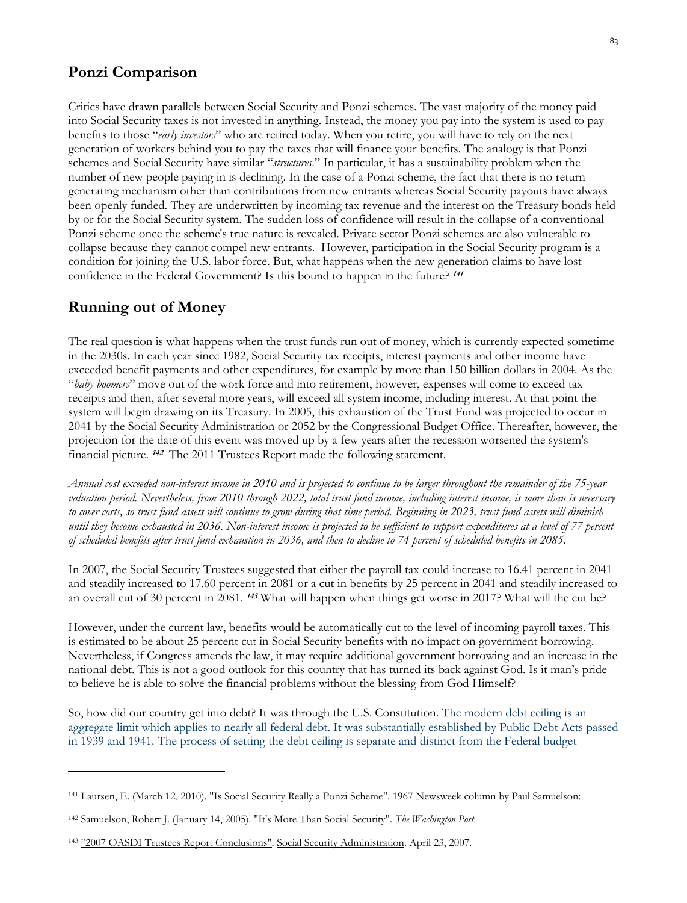### **Ponzi Comparison**

Critics have drawn parallels between Social Security and Ponzi schemes. The vast majority of the money paid into Social Security taxes is not invested in anything. Instead, the money you pay into the system is used to pay benefits to those "*early investors*" who are retired today. When you retire, you will have to rely on the next generation of workers behind you to pay the taxes that will finance your benefits. The analogy is that Ponzi schemes and Social Security have similar "*structures*." In particular, it has a sustainability problem when the number of new people paying in is declining. In the case of a Ponzi scheme, the fact that there is no return generating mechanism other than contributions from new entrants whereas Social Security payouts have always been openly funded. They are underwritten by incoming tax revenue and the interest on the Treasury bonds held by or for the Social Security system. The sudden loss of confidence will result in the collapse of a conventional Ponzi scheme once the scheme's true nature is revealed. Private sector Ponzi schemes are also vulnerable to collapse because they cannot compel new entrants. However, participation in the Social Security program is a condition for joining the U.S. labor force. But, what happens when the new generation claims to have lost confidence in the Federal Government? Is this bound to happen in the future? **<sup>141</sup>**

### **Running out of Money**

The real question is what happens when the trust funds run out of money, which is currently expected sometime in the 2030s. In each year since 1982, Social Security tax receipts, interest payments and other income have exceeded benefit payments and other expenditures, for example by more than 150 billion dollars in 2004. As the "*baby boomers*" move out of the work force and into retirement, however, expenses will come to exceed tax receipts and then, after several more years, will exceed all system income, including interest. At that point the system will begin drawing on its Treasury. In 2005, this exhaustion of the Trust Fund was projected to occur in 2041 by the Social Security Administration or 2052 by the Congressional Budget Office. Thereafter, however, the projection for the date of this event was moved up by a few years after the recession worsened the system's financial picture. **142** The 2011 Trustees Report made the following statement.

*Annual cost exceeded non-interest income in 2010 and is projected to continue to be larger throughout the remainder of the 75-year valuation period. Nevertheless, from 2010 through 2022, total trust fund income, including interest income, is more than is necessary to cover costs, so trust fund assets will continue to grow during that time period. Beginning in 2023, trust fund assets will diminish until they become exhausted in 2036. Non-interest income is projected to be sufficient to support expenditures at a level of 77 percent of scheduled benefits after trust fund exhaustion in 2036, and then to decline to 74 percent of scheduled benefits in 2085.* 

In 2007, the Social Security Trustees suggested that either the payroll tax could increase to 16.41 percent in 2041 and steadily increased to 17.60 percent in 2081 or a cut in benefits by 25 percent in 2041 and steadily increased to an overall cut of 30 percent in 2081. **143** What will happen when things get worse in 2017? What will the cut be?

However, under the current law, benefits would be automatically cut to the level of incoming payroll taxes. This is estimated to be about 25 percent cut in Social Security benefits with no impact on government borrowing. Nevertheless, if Congress amends the law, it may require additional government borrowing and an increase in the national debt. This is not a good outlook for this country that has turned its back against God. Is it man's pride to believe he is able to solve the financial problems without the blessing from God Himself?

So, how did our country get into debt? It was through the U.S. Constitution. The modern debt ceiling is an aggregate limit which applies to nearly all federal debt. It was substantially established by Public Debt Acts passed in 1939 and 1941. The process of setting the debt ceiling is separate and distinct from the Federal budget

<sup>&</sup>lt;sup>141</sup> Laursen, E. (March 12, 2010). "Is Social Security Really a Ponzi Scheme". 1967 Newsweek column by Paul Samuelson:

<sup>142</sup> Samuelson, Robert J. (January 14, 2005). "It's More Than Social Security". *The Washington Post*.

<sup>&</sup>lt;sup>143</sup> "2007 OASDI Trustees Report Conclusions". Social Security Administration. April 23, 2007.